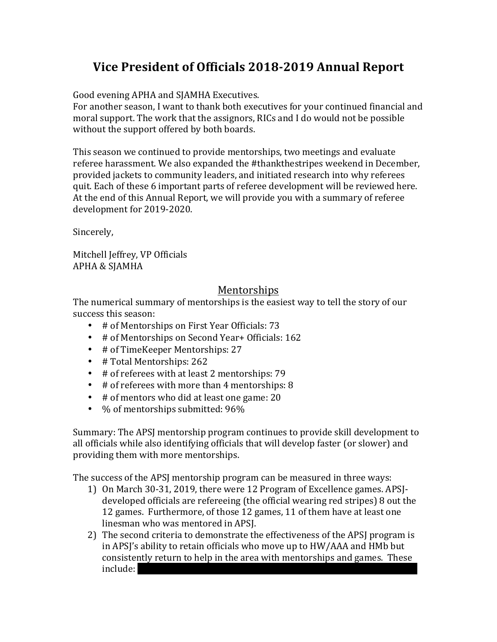# **Vice President of Officials 2018-2019 Annual Report**

Good evening APHA and SJAMHA Executives.

For another season, I want to thank both executives for your continued financial and moral support. The work that the assignors, RICs and I do would not be possible without the support offered by both boards.

This season we continued to provide mentorships, two meetings and evaluate referee harassment. We also expanded the #thankthestripes weekend in December, provided jackets to community leaders, and initiated research into why referees quit. Each of these 6 important parts of referee development will be reviewed here. At the end of this Annual Report, we will provide you with a summary of referee development for 2019-2020.

Sincerely, 

Mitchell Jeffrey, VP Officials APHA & SJAMHA

### Mentorships

The numerical summary of mentorships is the easiest way to tell the story of our success this season:

- # of Mentorships on First Year Officials: 73
- # of Mentorships on Second Year + Officials: 162
- # of TimeKeeper Mentorships: 27
- # Total Mentorships: 262
- # of referees with at least 2 mentorships: 79
- $\bullet$  # of referees with more than 4 mentorships: 8
- # of mentors who did at least one game: 20
- $\%$  of mentorships submitted:  $96\%$

Summary: The APSI mentorship program continues to provide skill development to all officials while also identifying officials that will develop faster (or slower) and providing them with more mentorships.

The success of the APSI mentorship program can be measured in three ways:

- 1) On March 30-31, 2019, there were 12 Program of Excellence games. APSJdeveloped officials are refereeing (the official wearing red stripes) 8 out the 12 games. Furthermore, of those 12 games, 11 of them have at least one linesman who was mentored in APSJ.
- 2) The second criteria to demonstrate the effectiveness of the APSJ program is in APSJ's ability to retain officials who move up to HW/AAA and HMb but consistently return to help in the area with mentorships and games. These include: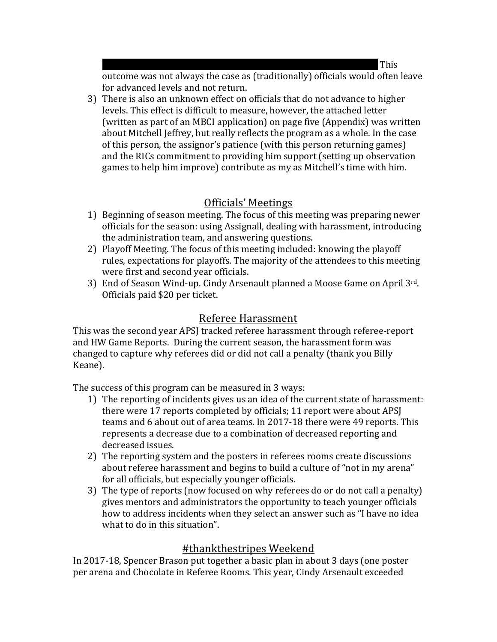Harms,  $\overline{\text{This}}$ 

outcome was not always the case as (traditionally) officials would often leave for advanced levels and not return.

3) There is also an unknown effect on officials that do not advance to higher levels. This effect is difficult to measure, however, the attached letter (written as part of an MBCI application) on page five (Appendix) was written about Mitchell Jeffrey, but really reflects the program as a whole. In the case of this person, the assignor's patience (with this person returning games) and the RICs commitment to providing him support (setting up observation games to help him improve) contribute as my as Mitchell's time with him.

# Officials' Meetings

- 1) Beginning of season meeting. The focus of this meeting was preparing newer officials for the season: using Assignall, dealing with harassment, introducing the administration team, and answering questions.
- 2) Playoff Meeting. The focus of this meeting included: knowing the playoff rules, expectations for playoffs. The majority of the attendees to this meeting were first and second year officials.
- 3) End of Season Wind-up. Cindy Arsenault planned a Moose Game on April 3rd. Officials paid \$20 per ticket.

### Referee Harassment

This was the second year APSJ tracked referee harassment through referee-report and HW Game Reports. During the current season, the harassment form was changed to capture why referees did or did not call a penalty (thank you Billy Keane). 

The success of this program can be measured in 3 ways:

- 1) The reporting of incidents gives us an idea of the current state of harassment: there were 17 reports completed by officials; 11 report were about APSJ teams and 6 about out of area teams. In 2017-18 there were 49 reports. This represents a decrease due to a combination of decreased reporting and decreased issues.
- 2) The reporting system and the posters in referees rooms create discussions about referee harassment and begins to build a culture of "not in my arena" for all officials, but especially younger officials.
- 3) The type of reports (now focused on why referees do or do not call a penalty) gives mentors and administrators the opportunity to teach younger officials how to address incidents when they select an answer such as "I have no idea what to do in this situation".

#### #thankthestripes Weekend

In 2017-18, Spencer Brason put together a basic plan in about 3 days (one poster per arena and Chocolate in Referee Rooms. This year, Cindy Arsenault exceeded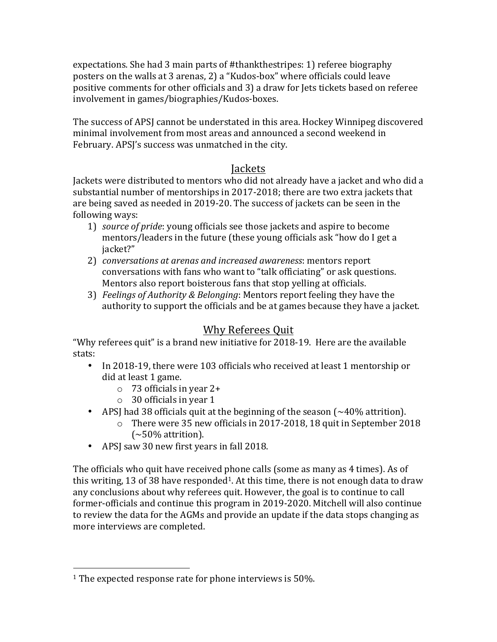expectations. She had 3 main parts of #thankthestripes: 1) referee biography posters on the walls at 3 arenas, 2) a "Kudos-box" where officials could leave positive comments for other officials and 3) a draw for Jets tickets based on referee involvement in games/biographies/Kudos-boxes.

The success of APSI cannot be understated in this area. Hockey Winnipeg discovered minimal involvement from most areas and announced a second weekend in February. APSJ's success was unmatched in the city.

#### Jackets

Jackets were distributed to mentors who did not already have a jacket and who did a substantial number of mentorships in 2017-2018; there are two extra jackets that are being saved as needed in 2019-20. The success of jackets can be seen in the following ways:

- 1) *source of pride*: young officials see those jackets and aspire to become mentors/leaders in the future (these young officials ask "how do I get a jacket?"
- 2) *conversations at arenas and increased awareness:* mentors report conversations with fans who want to "talk officiating" or ask questions. Mentors also report boisterous fans that stop yelling at officials.
- 3) *Feelings of Authority & Belonging*: Mentors report feeling they have the authority to support the officials and be at games because they have a jacket.

# Why Referees Quit

"Why referees quit" is a brand new initiative for 2018-19. Here are the available stats:

- In 2018-19, there were 103 officials who received at least 1 mentorship or did at least 1 game.
	- $\circ$  73 officials in year 2+
	- $\circ$  30 officials in year 1
- APSJ had 38 officials quit at the beginning of the season  $(\sim 40\%$  attrition).
	- $\circ$  There were 35 new officials in 2017-2018, 18 quit in September 2018  $(-50\%$  attrition).
- APSJ saw 30 new first years in fall 2018.

The officials who quit have received phone calls (some as many as 4 times). As of this writing, 13 of 38 have responded<sup>1</sup>. At this time, there is not enough data to draw any conclusions about why referees quit. However, the goal is to continue to call former-officials and continue this program in 2019-2020. Mitchell will also continue to review the data for the AGMs and provide an update if the data stops changing as more interviews are completed.

 

<sup>&</sup>lt;sup>1</sup> The expected response rate for phone interviews is 50%.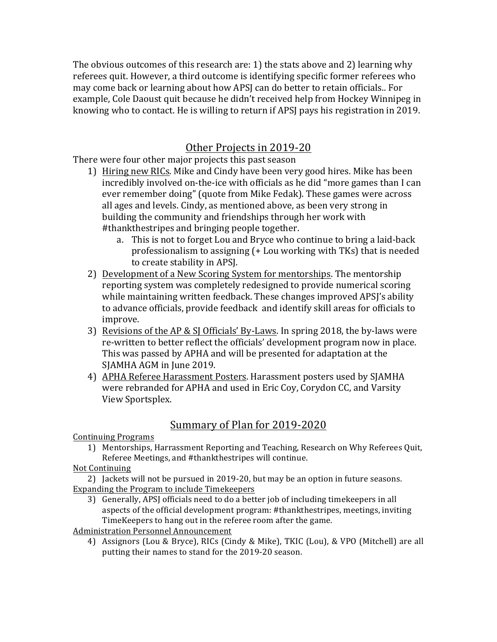The obvious outcomes of this research are: 1) the stats above and 2) learning why referees quit. However, a third outcome is identifying specific former referees who may come back or learning about how APSJ can do better to retain officials.. For example, Cole Daoust quit because he didn't received help from Hockey Winnipeg in knowing who to contact. He is willing to return if APSJ pays his registration in 2019.

#### Other Projects in 2019-20

There were four other major projects this past season

- 1) Hiring new RICs. Mike and Cindy have been very good hires. Mike has been incredibly involved on-the-ice with officials as he did "more games than I can ever remember doing" (quote from Mike Fedak). These games were across all ages and levels. Cindy, as mentioned above, as been very strong in building the community and friendships through her work with #thankthestripes and bringing people together.
	- a. This is not to forget Lou and Bryce who continue to bring a laid-back professionalism to assigning  $(+$  Lou working with TKs) that is needed to create stability in APSJ.
- 2) Development of a New Scoring System for mentorships. The mentorship reporting system was completely redesigned to provide numerical scoring while maintaining written feedback. These changes improved APSI's ability to advance officials, provide feedback and identify skill areas for officials to improve.
- 3) Revisions of the AP & SJ Officials' By-Laws. In spring 2018, the by-laws were re-written to better reflect the officials' development program now in place. This was passed by APHA and will be presented for adaptation at the SJAMHA AGM in June 2019.
- 4) APHA Referee Harassment Posters. Harassment posters used by SJAMHA were rebranded for APHA and used in Eric Coy, Corydon CC, and Varsity View Sportsplex.

# Summary of Plan for 2019-2020

Continuing Programs

1) Mentorships, Harrassment Reporting and Teaching, Research on Why Referees Quit, Referee Meetings, and #thankthestripes will continue.

#### Not Continuing

2) Jackets will not be pursued in 2019-20, but may be an option in future seasons. Expanding the Program to include Timekeepers

3) Generally, APSJ officials need to do a better job of including timekeepers in all aspects of the official development program: #thankthestripes, meetings, inviting TimeKeepers to hang out in the referee room after the game.

**Administration Personnel Announcement** 

4) Assignors (Lou & Bryce), RICs (Cindy & Mike), TKIC (Lou), & VPO (Mitchell) are all putting their names to stand for the 2019-20 season.